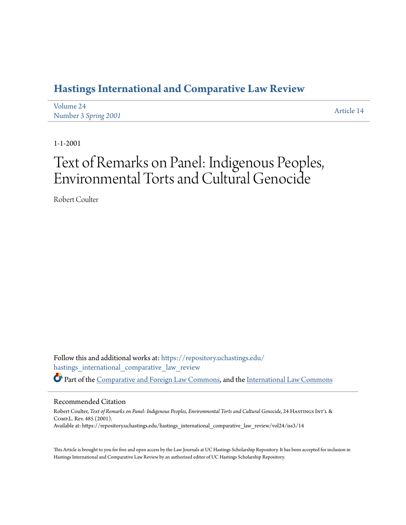### **[Hastings International and Comparative Law Review](https://repository.uchastings.edu/hastings_international_comparative_law_review?utm_source=repository.uchastings.edu%2Fhastings_international_comparative_law_review%2Fvol24%2Fiss3%2F14&utm_medium=PDF&utm_campaign=PDFCoverPages)**

| Volume 24            | Article 14 |
|----------------------|------------|
| Number 3 Spring 2001 |            |

1-1-2001

# Text of Remarks on Panel: Indigenous Peoples, Environmental Torts and Cultural Genocide

Robert Coulter

Follow this and additional works at: [https://repository.uchastings.edu/](https://repository.uchastings.edu/hastings_international_comparative_law_review?utm_source=repository.uchastings.edu%2Fhastings_international_comparative_law_review%2Fvol24%2Fiss3%2F14&utm_medium=PDF&utm_campaign=PDFCoverPages) [hastings\\_international\\_comparative\\_law\\_review](https://repository.uchastings.edu/hastings_international_comparative_law_review?utm_source=repository.uchastings.edu%2Fhastings_international_comparative_law_review%2Fvol24%2Fiss3%2F14&utm_medium=PDF&utm_campaign=PDFCoverPages) Part of the [Comparative and Foreign Law Commons](http://network.bepress.com/hgg/discipline/836?utm_source=repository.uchastings.edu%2Fhastings_international_comparative_law_review%2Fvol24%2Fiss3%2F14&utm_medium=PDF&utm_campaign=PDFCoverPages), and the [International Law Commons](http://network.bepress.com/hgg/discipline/609?utm_source=repository.uchastings.edu%2Fhastings_international_comparative_law_review%2Fvol24%2Fiss3%2F14&utm_medium=PDF&utm_campaign=PDFCoverPages)

#### Recommended Citation

Robert Coulter, *Text of Remarks on Panel: Indigenous Peoples, Environmental Torts and Cultural Genocide*, 24 HASTINGS INT'L & Comp.L. Rev. 485 (2001). Available at: https://repository.uchastings.edu/hastings\_international\_comparative\_law\_review/vol24/iss3/14

This Article is brought to you for free and open access by the Law Journals at UC Hastings Scholarship Repository. It has been accepted for inclusion in Hastings International and Comparative Law Review by an authorized editor of UC Hastings Scholarship Repository.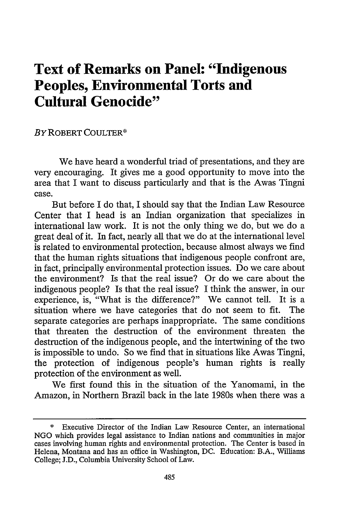## **Text of Remarks on Panel: "Indigenous Peoples, Environmental Torts and Cultural Genocide"**

#### BY ROBERT COULTER\*

We have heard a wonderful triad of presentations, and they are very encouraging. It gives me a good opportunity to move into the area that I want to discuss particularly and that is the Awas Tingni case.

But before I do that, I should say that the Indian Law Resource Center that I head is an Indian organization that specializes in international law work. It is not the only thing we do, but we do a great deal of it. In fact, nearly all that we do at the international level is related to environmental protection, because almost always we find that the human rights situations that indigenous people confront are, in fact, principally environmental protection issues. Do we care about the environment? Is that the real issue? Or do we care about the indigenous people? Is that the real issue? I think the answer, in our experience, is, "What is the difference?" We cannot tell. It is a situation where we have categories that do not seem to fit. The separate categories are perhaps inappropriate. The same conditions that threaten the destruction of the environment threaten the destruction of the indigenous people, and the intertwining of the two is impossible to undo. So we find that in situations like Awas Tingni, the protection of indigenous people's human rights is really protection of the environment as well.

We first found this in the situation of the Yanomami, in the Amazon, in Northern Brazil back in the late 1980s when there was a

Executive Director of the Indian Law Resource Center, an international NGO which provides legal assistance to Indian nations and communities in major cases involving human rights and environmental protection. The Center is based in Helena, Montana and has an office in Washington, DC. Education: B.A., Williams College; J.D., Columbia University School of Law.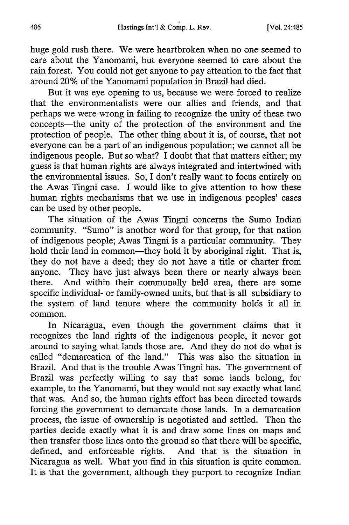huge gold rush there. We were heartbroken when no one seemed to care about the Yanomami, but everyone seemed to care about the rain forest. You could not get anyone to pay attention to the fact that around 20% of the Yanomami population in Brazil had died.

But it was eye opening to us, because we were forced to realize that the environmentalists were our allies and friends, and that perhaps we were wrong in failing to recognize the unity of these two concepts-the unity of the protection of the environment and the protection of people. The other thing about it is, of course, that not everyone can be a part of an indigenous population; we cannot all be indigenous people. But so what? I doubt that that matters either; my guess is that human rights are always integrated and intertwined with the environmental issues. So, I don't really want to focus entirely on the Awas Tingni case. I would like to give attention to how these human rights mechanisms that we use in indigenous peoples' cases can be used by other people.

The situation of the Awas Tingni concerns the Sumo Indian community. "Sumo" is another word for that group, for that nation of indigenous people; Awas Tingni is a particular community. They hold their land in common—they hold it by aboriginal right. That is, they do not have a deed; they do not have a title or charter from anyone. They have just always been there or nearly always been there. And within their communally held area, there are some specific individual- or family-owned units, but that is all subsidiary to the system of land tenure where the community holds it all in common.

In Nicaragua, even though the government claims that it recognizes the land rights of the indigenous people, it never got around to saying what lands those are. And they do not do what is called "demarcation of the land." This was also the situation in Brazil. And that is the trouble Awas Tingni has. The government of Brazil was perfectly willing to say that some lands belong, for example, to the Yanomami, but they would not say exactly what land that was. And so, the human rights effort has been directed towards forcing the government to demarcate those lands. In a demarcation process, the issue of ownership is negotiated and settled. Then the parties decide exactly what it is and draw some lines on maps and then transfer those lines onto the ground so that there will be specific, defined, and enforceable rights. And that is the situation in Nicaragua as well. What you find in this situation is quite common. It is that the government, although they purport to recognize Indian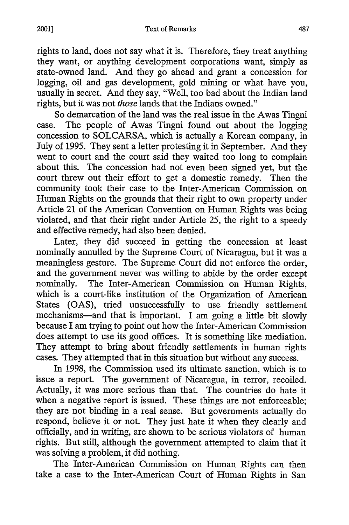rights to land, does not say what it is. Therefore, they treat anything they want, or anything development corporations want, simply as state-owned land. And they go ahead and grant a concession for logging, oil and gas development, gold mining or what have you, usually in secret. And they say, "Well, too bad about the Indian land rights, but it was not *those* lands that the Indians owned."

So demarcation of the land was the real issue in the Awas Tingni case. The people of Awas Tingni found out about the logging concession to SOLCARSA, which is actually a Korean company, in July of 1995. They sent a letter protesting it in September. And they went to court and the court said they waited too long to complain about this. The concession had not even been signed yet, but the court threw out their effort to get a domestic remedy. Then the community took their case to the Inter-American Commission on Human Rights on the grounds that their right to own property under Article 21 of the American Convention on Human Rights was being violated, and that their right under Article *25,* the right to a speedy and effective remedy, had also been denied.

Later, they did succeed in getting the concession at least nominally annulled by the Supreme Court of Nicaragua, but it was a meaningless gesture. The Supreme Court did not enforce the order, and the government never was willing to abide by the order except nominally. The Inter-American Commission on Human Rights, which is a court-like institution of the Organization of American States (OAS), tried unsuccessfully to use friendly settlement mechanisms-and that is important. I am going a little bit slowly because I am trying to point out how the Inter-American Commission does attempt to use its good offices. It is something like mediation. They attempt to bring about friendly settlements in human rights cases. They attempted that in this situation but without any success.

In 1998, the Commission used its ultimate sanction, which is to issue a report. The government of Nicaragua, in terror, recoiled. Actually, it was more serious than that. The countries do hate it when a negative report is issued. These things are not enforceable; they are not binding in a real sense. But governments actually do respond, believe it or not. They just hate it when they clearly and officially, and in writing, are shown to be serious violators of human rights. But still, although the government attempted to claim that it was solving a problem, it did nothing.

The Inter-American Commission on Human Rights can then take a case to the Inter-American Court of Human Rights in San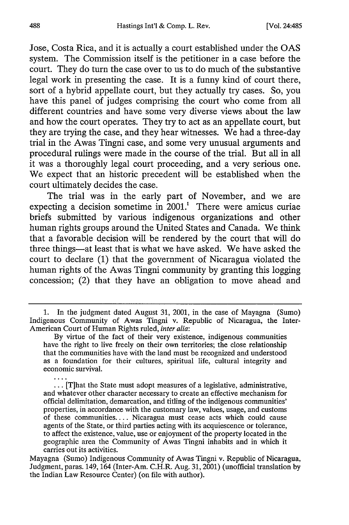Jose, Costa Rica, and it is actually a court established under the **OAS** system. The Commission itself is the petitioner in a case before the court. They do turn the case over to us to do much of the substantive legal work in presenting the case. It is a funny kind of court there, sort of a hybrid appellate court, but they actually try cases. So, you have this panel of judges comprising the court who come from all different countries and have some very diverse views about the law and how the court operates. They try to act as an appellate court, but they are trying the case, and they hear witnesses. We had a three-day trial in the Awas Tingni case, and some very unusual arguments and procedural rulings were made in the course of the trial. But all in all it was a thoroughly legal court proceeding, and a very serious one. We expect that an historic precedent will be established when the court ultimately decides the case.

The trial was in the early part of November, and we are expecting a decision sometime in 2001.' There were amicus curiae briefs submitted by various indigenous organizations and other human rights groups around the United States and Canada. We think that a favorable decision will be rendered by the court that will do three things-at least that is what we have asked. We have asked the court to declare (1) that the government of Nicaragua violated the human rights of the Awas Tingni community by granting this logging concession; (2) that they have an obligation to move ahead and

**...** [T]hat the State must adopt measures of a legislative, administrative, and whatever other character necessary to create an effective mechanism for official delimitation, demarcation, and titling of the indigenous communities' properties, in accordance with the customary law, values, usage, and customs of these communities.... Nicaragua must cease acts which could cause agents of the State, or third parties acting with its acquiescence or tolerance, to affect the existence, value, use or enjoyment of the property located in the geographic area the Community of Awas Tingni inhabits and in which it carries out its activities.

Mayagna (Sumo) Indigenous Community of Awas Tingni v. Republic of Nicaragua, Judgment, paras. 149, 164 (Inter-Am. C.H.R. Aug. 31, 2001) (unofficial translation by the Indian Law Resource Center) (on file with author).

<sup>1.</sup> In the judgment dated August 31, 2001, in the case of Mayagna (Sumo) Indigenous Community of Awas Tingni v. Republic of Nicaragua, the Inter-American Court of Human Rights ruled, *inter alia:*

By virtue of the fact of their very existence, indigenous communities have the right to live freely on their own territories; the close relationship that the communities have with the land must be recognized and understood as a foundation for their cultures, spiritual life, cultural integrity and economic survival.